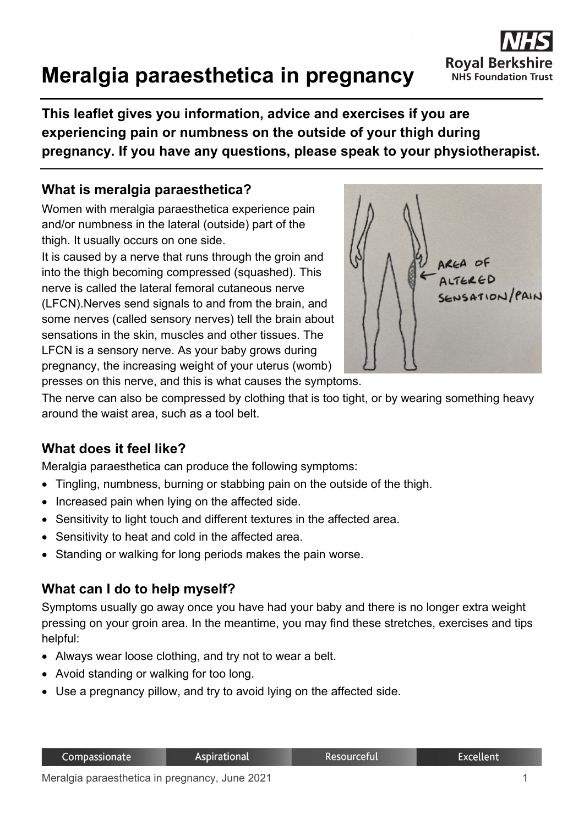# **Meralgia paraesthetica in pregnancy**

**This leaflet gives you information, advice and exercises if you are experiencing pain or numbness on the outside of your thigh during pregnancy. If you have any questions, please speak to your physiotherapist.**

## **What is meralgia paraesthetica?**

Women with meralgia paraesthetica experience pain and/or numbness in the lateral (outside) part of the thigh. It usually occurs on one side.

It is caused by a nerve that runs through the groin and into the thigh becoming compressed (squashed). This nerve is called the lateral femoral cutaneous nerve (LFCN).Nerves send signals to and from the brain, and some nerves (called sensory nerves) tell the brain about sensations in the skin, muscles and other tissues. The LFCN is a sensory nerve. As your baby grows during pregnancy, the increasing weight of your uterus (womb)



**Royal Berk** 

**NHS Foundation Trust** 

presses on this nerve, and this is what causes the symptoms.

The nerve can also be compressed by clothing that is too tight, or by wearing something heavy around the waist area, such as a tool belt.

# **What does it feel like?**

Meralgia paraesthetica can produce the following symptoms:

- Tingling, numbness, burning or stabbing pain on the outside of the thigh.
- Increased pain when lying on the affected side.
- Sensitivity to light touch and different textures in the affected area.
- Sensitivity to heat and cold in the affected area.
- Standing or walking for long periods makes the pain worse.

## **What can I do to help myself?**

Symptoms usually go away once you have had your baby and there is no longer extra weight pressing on your groin area. In the meantime, you may find these stretches, exercises and tips helpful:

- Always wear loose clothing, and try not to wear a belt.
- Avoid standing or walking for too long.
- Use a pregnancy pillow, and try to avoid lying on the affected side.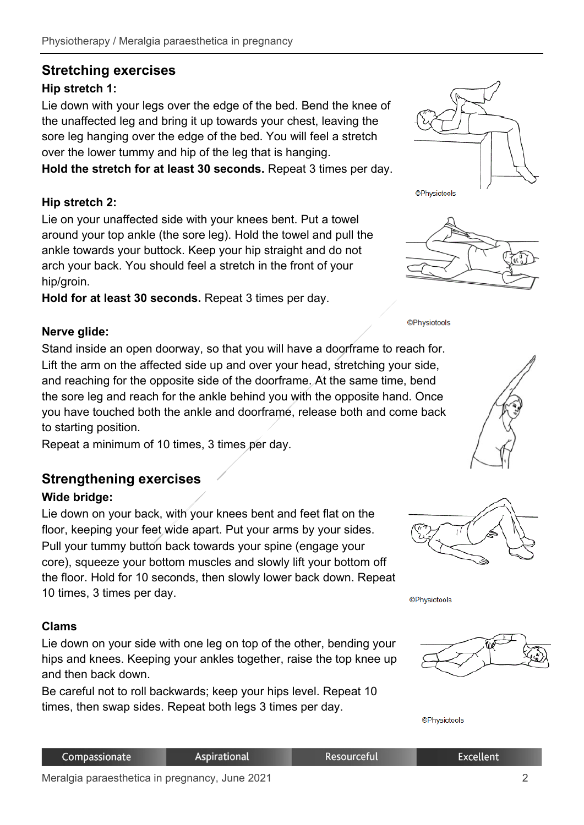# **Stretching exercises**

# **Hip stretch 1:**

Lie down with your legs over the edge of the bed. Bend the knee of the unaffected leg and bring it up towards your chest, leaving the sore leg hanging over the edge of the bed. You will feel a stretch over the lower tummy and hip of the leg that is hanging.

**Hold the stretch for at least 30 seconds.** Repeat 3 times per day.

## **Hip stretch 2:**

Lie on your unaffected side with your knees bent. Put a towel around your top ankle (the sore leg). Hold the towel and pull the ankle towards your buttock. Keep your hip straight and do not arch your back. You should feel a stretch in the front of your hip/groin.

**Hold for at least 30 seconds.** Repeat 3 times per day.

## **Nerve glide:**

Stand inside an open doorway, so that you will have a doorframe to reach for. Lift the arm on the affected side up and over your head, stretching your side, and reaching for the opposite side of the doorframe. At the same time, bend the sore leg and reach for the ankle behind you with the opposite hand. Once you have touched both the ankle and doorframe, release both and come back to starting position.

Repeat a minimum of 10 times, 3 times per day.

# **Strengthening exercises**

#### **Wide bridge:**

Lie down on your back, with your knees bent and feet flat on the floor, keeping your feet wide apart. Put your arms by your sides. Pull your tummy button back towards your spine (engage your core), squeeze your bottom muscles and slowly lift your bottom off the floor. Hold for 10 seconds, then slowly lower back down. Repeat 10 times, 3 times per day.

#### **Clams**

Lie down on your side with one leg on top of the other, bending your hips and knees. Keeping your ankles together, raise the top knee up and then back down.

Be careful not to roll backwards; keep your hips level. Repeat 10 times, then swap sides. Repeat both legs 3 times per day.





**©Physiotools** 





**©Physiotools** 



**©Physiotools** 

| Compassionate                                    | Aspirational | .Resourceful' | Excellent |
|--------------------------------------------------|--------------|---------------|-----------|
| Mendels nonesable that in more or an Illing 0004 |              |               |           |